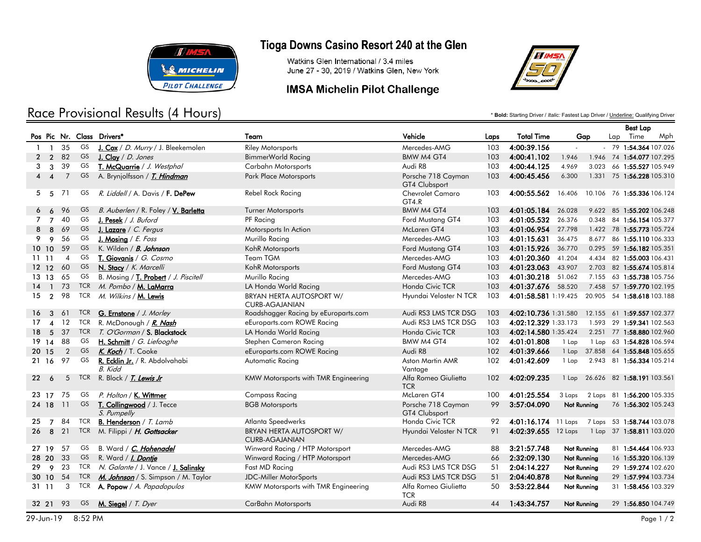

## Race Provisional Results (4 Hours)

## Tioga Downs Casino Resort 240 at the Glen

Watkins Glen International / 3.4 miles June 27 - 30, 2019 / Watkins Glen, New York

#### **IMSA Michelin Pilot Challenge**



\* **Bold:** Starting Driver / *Italic:* Fastest Lap Driver / Underline: Qualifying Driver

|    |                        |                |            |                                                |                                                   |                                     |      |                                                |                    |       | <b>Best Lap</b> |                            |     |
|----|------------------------|----------------|------------|------------------------------------------------|---------------------------------------------------|-------------------------------------|------|------------------------------------------------|--------------------|-------|-----------------|----------------------------|-----|
|    |                        |                |            | Pos Pic Nr. Class Drivers*                     | Team                                              | Vehicle                             | Laps | <b>Total Time</b>                              |                    | Gap   | Lap             | Time                       | Mph |
|    | $1 \quad 1$            | 35             | GS         | J. Cox / D. Murry / J. Bleekemolen             | <b>Riley Motorsports</b>                          | Mercedes-AMG                        | 103  | 4:00:39.156                                    | $\sim$             |       |                 | - 79 1:54.364 107.026      |     |
| 2  | $\overline{2}$         | 82             | GS         | J. Clay / D. Jones                             | BimmerWorld Racing                                | BMW M4 GT4                          | 103  | 4:00:41.102                                    | 1.946              |       |                 | 1.946 74 1:54.077 107.295  |     |
| 3  | 3                      | 39             | GS         | T. McQuarrie / J. Westphal                     | Carbahn Motorsports                               | Audi R8                             | 103  | 4:00:44.125                                    | 4.969              |       |                 | 3.023 66 1:55.527 105.949  |     |
| 4  | $\overline{4}$         | $\overline{7}$ | GS         | A. Brynjolfsson / <i>T. Hindman</i>            | <b>Park Place Motorsports</b>                     | Porsche 718 Cayman<br>GT4 Clubsport | 103  | 4:00:45.456                                    | 6.300              |       |                 | 1.331 75 1:56.228 105.310  |     |
| 5  | $-5$                   | 71             | GS         | <i>R. Liddell / A. Davis / <b>F. DePew</b></i> | Rebel Rock Racing                                 | <b>Chevrolet Camaro</b><br>GT4.R    | 103  | 4:00:55.562                                    | 16.406             |       |                 | 10.106 76 1:55.336 106.124 |     |
|    | 6                      | 96             | GS         | B. Auberlen / R. Foley / V. Barletta           | <b>Turner Motorsports</b>                         | <b>BMW M4 GT4</b>                   | 103  | 4:01:05.184 26.028                             |                    |       |                 | 9.622 85 1:55.202 106.248  |     |
| 7  | $\overline{7}$         | 40             | GS         | J. Pesek $/ J.$ Buford                         | PF Racing                                         | Ford Mustang GT4                    | 103  | 4:01:05.532 26.376                             |                    |       |                 | 0.348 84 1:56.154 105.377  |     |
| 8  | 8                      | 69             | GS         | J. Lazare / C. Fergus                          | Motorsports In Action                             | McLaren GT4                         | 103  | 4:01:06.954 27.798                             |                    |       |                 | 1.422 78 1:55.773 105.724  |     |
| 9  | 9                      | 56             | GS         | J. Mosing / $E$ . Foss                         | Murillo Racing                                    | Mercedes-AMG                        | 103  | 4:01:15.631                                    | 36.475             |       |                 | 8.677 86 1:55.110 106.333  |     |
|    | 1010                   | 59             | <b>GS</b>  | K. Wilden / <b><i>B. Johnson</i></b>           | KohR Motorsports                                  | Ford Mustang GT4                    | 103  | 4:01:15.926 36.770                             |                    |       |                 | 0.295 59 1:56.182 105.351  |     |
|    | 1111                   | $\overline{4}$ | GS         | T. Giovanis / G. Cosmo                         | Team TGM                                          | Mercedes-AMG                        | 103  | 4:01:20.360                                    | 41.204             | 4.434 |                 | 82 1:55.003 106.431        |     |
|    | 12 12                  | 60             | GS         | N. Stacy / K. Marcelli                         | KohR Motorsports                                  | Ford Mustang GT4                    | 103  | 4:01:23.063                                    | 43.907             |       |                 | 2.703 82 1:55.674 105.814  |     |
|    | 13 13 65               |                | GS         | B. Mosing / T. Probert / J. Piscitell          | Murillo Racing                                    | Mercedes-AMG                        | 103  | 4:01:30.218 51.062                             |                    |       |                 | 7.155 63 1:55.738 105.756  |     |
| 14 | $\mathbf{1}$           | 73             | TCR        | M. Pombo / <b>M. LaMarra</b>                   | LA Honda World Racing                             | Honda Civic TCR                     | 103  | 4:01:37.676 58.520                             |                    |       |                 | 7.458 57 1:59.770 102.195  |     |
| 15 | $\overline{2}$         | 98             |            | TCR M. Wilkins / M. Lewis                      | BRYAN HERTA AUTOSPORT W/<br><b>CURB-AGAJANIAN</b> | Hyundai Veloster N TCR              | 103  | 4:01:58.581 1:19.425                           |                    |       |                 | 20.905 54 1:58.618 103.188 |     |
| 16 | 3                      | 61             | <b>TCR</b> | <b>G. Ernstone</b> / J. Morley                 | Roadshagger Racing by eEuroparts.com              | Audi RS3 LMS TCR DSG                | 103  | 4:02:10.736 1:31.580                           |                    |       |                 | 12.155 61 1:59.557 102.377 |     |
| 17 | $\boldsymbol{\Lambda}$ | 12             | <b>TCR</b> | R. McDonough / R. Nash                         | eEuroparts.com ROWE Racing                        | Audi RS3 LMS TCR DSG                | 103  | 4:02:12.329 1:33.173                           |                    |       |                 | 1.593 29 1:59.341 102.563  |     |
| 18 | 5                      | 37             |            | TCR T. O'Gorman / S. Blackstock                | LA Honda World Racing                             | Honda Civic TCR                     | 103  | 4:02:14.580 1:35.424                           |                    |       |                 | 2.251 77 1:58.880 102.960  |     |
|    | 19 14                  | 88             | GS.        | H. Schmitt / G. Liefooghe                      | Stephen Cameron Racing                            | BMW M4 GT4                          | 102  | 4:01:01.808                                    | 1 Lap              |       |                 | 1 Lap 63 1:54.828 106.594  |     |
|    | 20 15                  | $\overline{2}$ | GS         | K. Koch / T. Cooke                             | eEuroparts.com ROWE Racing                        | Audi R8                             | 102  | 4:01:39.666                                    | 1 Lap              |       |                 | 37.858 64 1:55.848 105.655 |     |
|    | 21 16                  | 97             | GS         | R. Ecklin Jr. / R. Abdolvahabi<br>B. Kidd      | Automatic Racing                                  | Aston Martin AMR<br>Vantage         | 102  | 4:01:42.609                                    | 1 Lap              |       |                 | 2.943 81 1:56.334 105.214  |     |
| 22 | 6                      | -5             |            | TCR R. Block / T. Lewis Jr                     | KMW Motorsports with TMR Engineering              | Alfa Romeo Giulietta<br><b>TCR</b>  | 102  | 4:02:09.235                                    | 1 Lap              |       |                 | 26.626 82 1:58.191 103.561 |     |
|    | 23 17                  | 75             | GS         | P. Holton / K. Wittmer                         | <b>Compass Racing</b>                             | McLaren GT4                         | 100  | 4:01:25.554                                    | 3 Laps             |       |                 | 2 Laps 81 1:56.200 105.335 |     |
|    | 24 18                  | -11            | GS         | T. Collingwood / J. Tecce<br>S. Pumpelly       | <b>BGB Motorsports</b>                            | Porsche 718 Cayman<br>GT4 Clubsport | 99   | 3:57:04.090                                    | Not Running        |       |                 | 76 1:56.302 105.243        |     |
| 25 | $\overline{7}$         | 84             | TCR        | <b>B. Henderson</b> / $T.$ Lamb                | Atlanta Speedwerks                                | Honda Civic TCR                     | 92   | 4:01:16.174 11 Laps 7 Laps 53 1:58.744 103.078 |                    |       |                 |                            |     |
| 26 |                        | 8 21           | <b>TCR</b> | M. Filippi / <i>H. Gottsacker</i>              | BRYAN HERTA AUTOSPORT W/<br><b>CURB-AGAJANIAN</b> | Hyundai Veloster N TCR              | 91   | 4:02:39.655 12 Laps                            |                    |       |                 | 1 Lap 37 1:58.811 103.020  |     |
|    | 27 19                  | 57             | GS         | B. Ward / C. Hohenadel                         | Winward Racing / HTP Motorsport                   | Mercedes-AMG                        | 88   | 3:21:57.748                                    | <b>Not Running</b> |       |                 | 81 1:54.464 106.933        |     |
|    | 28 20 33               |                | GS         | R. Ward / <i>I. Dontje</i>                     | Winward Racing / HTP Motorsport                   | Mercedes-AMG                        | 66   | 2:32:09.130                                    | Not Running        |       |                 | 16 1:55.320 106.139        |     |
| 29 |                        | 9 23           |            | TCR N. Galante / J. Vance / J. Salinsky        | Fast MD Racing                                    | Audi RS3 LMS TCR DSG                | 51   | 2:04:14.227                                    | Not Running        |       |                 | 29 1:59.274 102.620        |     |
|    | 30 10                  | 54             | <b>TCR</b> | M. Johnson / S. Simpson / M. Taylor            | JDC-Miller MotorSports                            | Audi RS3 LMS TCR DSG                | 51   | 2:04:40.878                                    | Not Running        |       |                 | 29 1:57.994 103.734        |     |
|    | 31 11                  | 3              |            | TCR <b>A. Popow</b> / A. Papadopulos           | KMW Motorsports with TMR Engineering              | Alfa Romeo Giulietta<br><b>TCR</b>  | 50   | 3:53:22.844                                    | Not Running        |       |                 | 31 1:58.456 103.329        |     |
|    | 32 21 93               |                | GS         | M. Siegel / T. Dyer                            | CarBahn Motorsports                               | Audi R8                             | 44   | 1:43:34.757                                    | Not Running        |       |                 | 29 1:56.850 104.749        |     |
|    |                        |                |            |                                                |                                                   |                                     |      |                                                |                    |       |                 |                            |     |